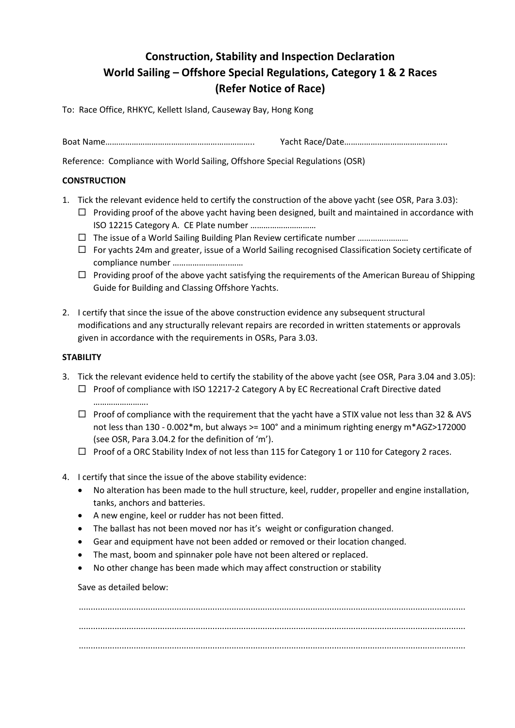# **Construction, Stability and Inspection Declaration World Sailing – Offshore Special Regulations, Category 1 & 2 Races (Refer Notice of Race)**

To: Race Office, RHKYC, Kellett Island, Causeway Bay, Hong Kong

Boat Name………………………………………………………….. Yacht Race/Date………………………………………..

Reference: Compliance with World Sailing, Offshore Special Regulations (OSR)

## **CONSTRUCTION**

- 1. Tick the relevant evidence held to certify the construction of the above yacht (see OSR, Para 3.03):
	- $\Box$  Providing proof of the above yacht having been designed, built and maintained in accordance with ISO 12215 Category A. CE Plate number …………………………
	- □ The issue of a World Sailing Building Plan Review certificate number ............................
	- For yachts 24m and greater, issue of a World Sailing recognised Classification Society certificate of compliance number ……………………..……
	- $\Box$  Providing proof of the above yacht satisfying the requirements of the American Bureau of Shipping Guide for Building and Classing Offshore Yachts.
- 2. I certify that since the issue of the above construction evidence any subsequent structural modifications and any structurally relevant repairs are recorded in written statements or approvals given in accordance with the requirements in OSRs, Para 3.03.

## **STABILITY**

- 3. Tick the relevant evidence held to certify the stability of the above yacht (see OSR, Para 3.04 and 3.05):  $\Box$  Proof of compliance with ISO 12217-2 Category A by EC Recreational Craft Directive dated ………………………
	- $\Box$  Proof of compliance with the requirement that the yacht have a STIX value not less than 32 & AVS not less than 130 - 0.002\*m, but always >= 100° and a minimum righting energy m\*AGZ>172000 (see OSR, Para 3.04.2 for the definition of 'm').
	- $\Box$  Proof of a ORC Stability Index of not less than 115 for Category 1 or 110 for Category 2 races.
- 4. I certify that since the issue of the above stability evidence:
	- No alteration has been made to the hull structure, keel, rudder, propeller and engine installation, tanks, anchors and batteries.
	- A new engine, keel or rudder has not been fitted.
	- The ballast has not been moved nor has it's weight or configuration changed.
	- Gear and equipment have not been added or removed or their location changed.
	- The mast, boom and spinnaker pole have not been altered or replaced.
	- No other change has been made which may affect construction or stability

### Save as detailed below:

.................................................................................................................................................................. .................................................................................................................................................................. ..................................................................................................................................................................